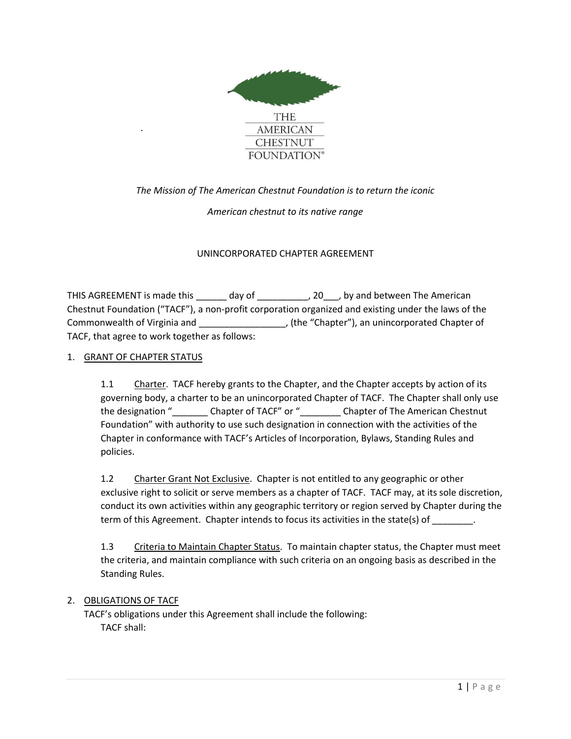

## *The Mission of The American Chestnut Foundation is to return the iconic*

### *American chestnut to its native range*

### UNINCORPORATED CHAPTER AGREEMENT

THIS AGREEMENT is made this day of the method of the American postulation of the American Chestnut Foundation ("TACF"), a non-profit corporation organized and existing under the laws of the Commonwealth of Virginia and \_\_\_\_\_\_\_\_\_\_\_\_\_\_\_\_\_, (the "Chapter"), an unincorporated Chapter of TACF, that agree to work together as follows:

### 1. GRANT OF CHAPTER STATUS

*.*

1.1 Charter. TACF hereby grants to the Chapter, and the Chapter accepts by action of its governing body, a charter to be an unincorporated Chapter of TACF. The Chapter shall only use the designation " \_\_\_\_\_\_\_\_\_ Chapter of TACF" or " \_\_\_\_\_\_\_\_ Chapter of The American Chestnut Foundation" with authority to use such designation in connection with the activities of the Chapter in conformance with TACF's Articles of Incorporation, Bylaws, Standing Rules and policies.

1.2 Charter Grant Not Exclusive. Chapter is not entitled to any geographic or other exclusive right to solicit or serve members as a chapter of TACF. TACF may, at its sole discretion, conduct its own activities within any geographic territory or region served by Chapter during the term of this Agreement. Chapter intends to focus its activities in the state(s) of  $\qquad \qquad$ .

1.3 Criteria to Maintain Chapter Status. To maintain chapter status, the Chapter must meet the criteria, and maintain compliance with such criteria on an ongoing basis as described in the Standing Rules.

### 2. OBLIGATIONS OF TACF

TACF's obligations under this Agreement shall include the following: TACF shall: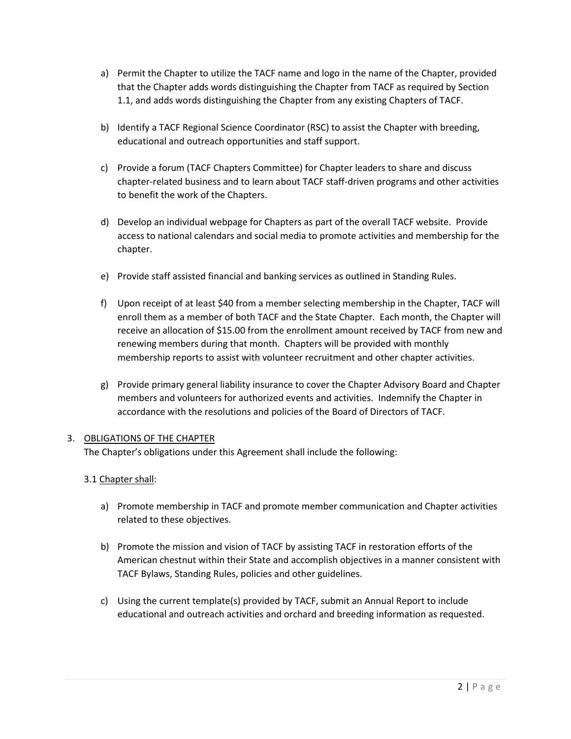- a) Permit the Chapter to utilize the TACF name and logo in the name of the Chapter, provided that the Chapter adds words distinguishing the Chapter from TACF as required by Section 1.1, and adds words distinguishing the Chapter from any existing Chapters of TACF.
- b) Identify a TACF Regional Science Coordinator (RSC) to assist the Chapter with breeding, educational and outreach opportunities and staff support.
- c) Provide a forum (TACF Chapters Committee) for Chapter leaders to share and discuss chapter-related business and to learn about TACF staff-driven programs and other activities to benefit the work of the Chapters.
- d) Develop an individual webpage for Chapters as part of the overall TACF website. Provide access to national calendars and social media to promote activities and membership for the chapter.
- e) Provide staff assisted financial and banking services as outlined in Standing Rules.
- f) Upon receipt of at least \$40 from a member selecting membership in the Chapter, TACF will enroll them as a member of both TACF and the State Chapter. Each month, the Chapter will receive an allocation of \$15.00 from the enrollment amount received by TACF from new and renewing members during that month. Chapters will be provided with monthly membership reports to assist with volunteer recruitment and other chapter activities.
- g) Provide primary general liability insurance to cover the Chapter Advisory Board and Chapter members and volunteers for authorized events and activities. Indemnify the Chapter in accordance with the resolutions and policies of the Board of Directors of TACF.

## 3. OBLIGATIONS OF THE CHAPTER

The Chapter's obligations under this Agreement shall include the following:

# 3.1 Chapter shall:

- a) Promote membership in TACF and promote member communication and Chapter activities related to these objectives.
- b) Promote the mission and vision of TACF by assisting TACF in restoration efforts of the American chestnut within their State and accomplish objectives in a manner consistent with TACF Bylaws, Standing Rules, policies and other guidelines.
- c) Using the current template(s) provided by TACF, submit an Annual Report to include educational and outreach activities and orchard and breeding information as requested.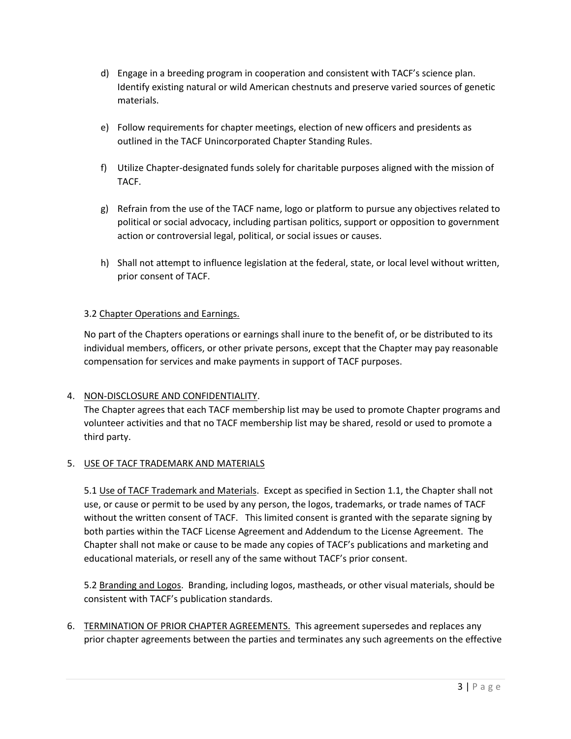- d) Engage in a breeding program in cooperation and consistent with TACF's science plan. Identify existing natural or wild American chestnuts and preserve varied sources of genetic materials.
- e) Follow requirements for chapter meetings, election of new officers and presidents as outlined in the TACF Unincorporated Chapter Standing Rules.
- f) Utilize Chapter-designated funds solely for charitable purposes aligned with the mission of TACF.
- g) Refrain from the use of the TACF name, logo or platform to pursue any objectives related to political or social advocacy, including partisan politics, support or opposition to government action or controversial legal, political, or social issues or causes.
- h) Shall not attempt to influence legislation at the federal, state, or local level without written, prior consent of TACF.

### 3.2 Chapter Operations and Earnings.

No part of the Chapters operations or earnings shall inure to the benefit of, or be distributed to its individual members, officers, or other private persons, except that the Chapter may pay reasonable compensation for services and make payments in support of TACF purposes.

### 4. NON-DISCLOSURE AND CONFIDENTIALITY.

The Chapter agrees that each TACF membership list may be used to promote Chapter programs and volunteer activities and that no TACF membership list may be shared, resold or used to promote a third party.

### 5. USE OF TACF TRADEMARK AND MATERIALS

5.1 Use of TACF Trademark and Materials. Except as specified in Section 1.1, the Chapter shall not use, or cause or permit to be used by any person, the logos, trademarks, or trade names of TACF without the written consent of TACF. This limited consent is granted with the separate signing by both parties within the TACF License Agreement and Addendum to the License Agreement. The Chapter shall not make or cause to be made any copies of TACF's publications and marketing and educational materials, or resell any of the same without TACF's prior consent.

5.2 Branding and Logos. Branding, including logos, mastheads, or other visual materials, should be consistent with TACF's publication standards.

6. TERMINATION OF PRIOR CHAPTER AGREEMENTS. This agreement supersedes and replaces any prior chapter agreements between the parties and terminates any such agreements on the effective